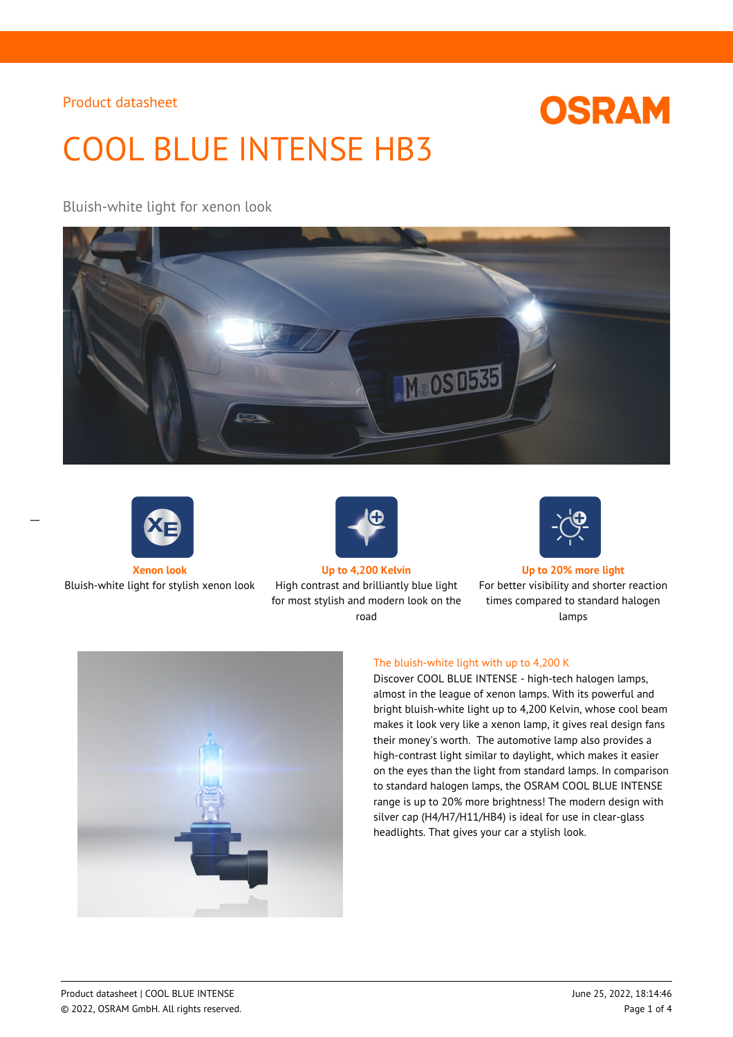# **OSRAM**

# COOL BLUE INTENSE HB3

# Bluish-white light for xenon look





 $\overline{a}$ 

Bluish-white light for stylish xenon look High contrast and brilliantly blue light



for most stylish and modern look on the road



#### **Xenon look Up to 4,200 Kelvin Up to 20% more light**

For better visibility and shorter reaction times compared to standard halogen lamps



#### The bluish-white light with up to 4,200 K

Discover COOL BLUE INTENSE - high-tech halogen lamps, almost in the league of xenon lamps. With its powerful and bright bluish-white light up to 4,200 Kelvin, whose cool beam makes it look very like a xenon lamp, it gives real design fans their money's worth. The automotive lamp also provides a high-contrast light similar to daylight, which makes it easier on the eyes than the light from standard lamps. In comparison to standard halogen lamps, the OSRAM COOL BLUE INTENSE range is up to 20% more brightness! The modern design with silver cap (H4/H7/H11/HB4) is ideal for use in clear-glass headlights. That gives your car a stylish look.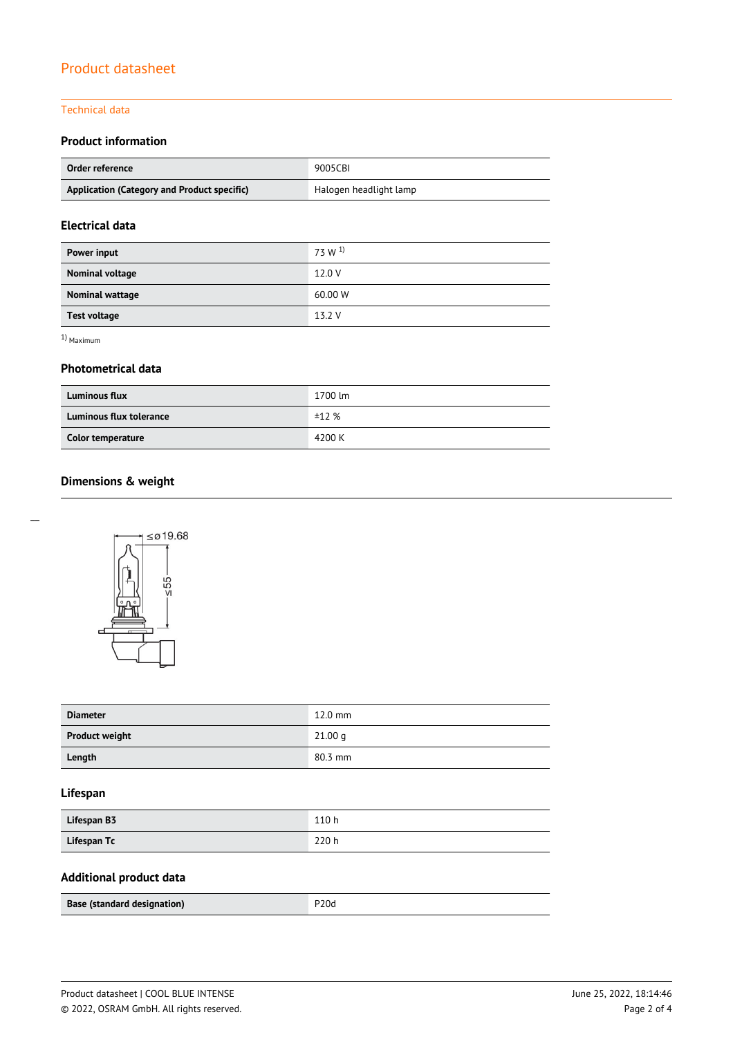#### Technical data

# **Product information**

| Order reference                             | 9005CBI                |  |
|---------------------------------------------|------------------------|--|
| Application (Category and Product specific) | Halogen headlight lamp |  |

# **Electrical data**

| Power input         | 73 W <sup>1</sup> |
|---------------------|-------------------|
| Nominal voltage     | 12.0 V            |
| Nominal wattage     | 60.00 W           |
| <b>Test voltage</b> | 13.2 V            |

1) Maximum

#### **Photometrical data**

| <b>Luminous flux</b>    | 1700 lm |
|-------------------------|---------|
| Luminous flux tolerance | ±12%    |
| Color temperature       | 4200 K  |

# **Dimensions & weight**



| <b>Diameter</b>       | $12.0$ mm |
|-----------------------|-----------|
| <b>Product weight</b> | 21.00 g   |
| Length                | $80.3$ mm |

# **Lifespan**

| Lifespan B3 | 110 h |
|-------------|-------|
| Lifespan Tc | 220 h |

# **Additional product data**

| <b>Base (standard designation)</b> | P <sub>20d</sub> |
|------------------------------------|------------------|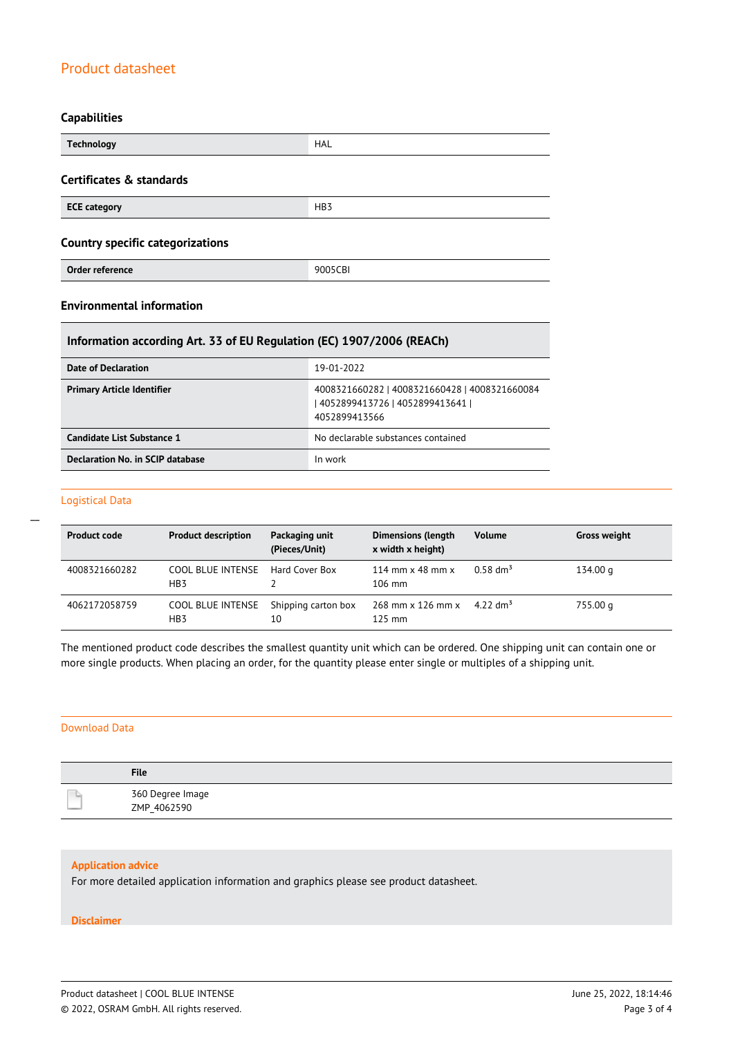#### **Capabilities**

| <b>Technology</b>                       | HAL             |  |
|-----------------------------------------|-----------------|--|
| Certificates & standards                |                 |  |
| <b>ECE category</b>                     | HB <sub>3</sub> |  |
| <b>Country specific categorizations</b> |                 |  |
| Order reference                         | 9005CBI         |  |

### **Environmental information**

### **Information according Art. 33 of EU Regulation (EC) 1907/2006 (REACh)**

| Date of Declaration               | 19-01-2022                                                                                          |
|-----------------------------------|-----------------------------------------------------------------------------------------------------|
| <b>Primary Article Identifier</b> | 4008321660282   4008321660428   4008321660084<br>  4052899413726   4052899413641  <br>4052899413566 |
| Candidate List Substance 1        | No declarable substances contained                                                                  |
| Declaration No. in SCIP database  | In work                                                                                             |

#### Logistical Data

 $\overline{a}$ 

| <b>Product code</b> | <b>Product description</b>      | Packaging unit<br>(Pieces/Unit) | <b>Dimensions (length</b><br>x width x height)     | <b>Volume</b>          | <b>Gross weight</b> |
|---------------------|---------------------------------|---------------------------------|----------------------------------------------------|------------------------|---------------------|
| 4008321660282       | COOL BLUE INTENSE<br>HB3        | Hard Cover Box                  | 114 mm $\times$ 48 mm $\times$<br>$106 \text{ mm}$ | $0.58$ dm <sup>3</sup> | 134.00 g            |
| 4062172058759       | <b>COOL BLUE INTENSE</b><br>HB3 | Shipping carton box<br>10       | 268 mm x 126 mm x<br>$125$ mm                      | 4.22 dm <sup>3</sup>   | 755.00 g            |

The mentioned product code describes the smallest quantity unit which can be ordered. One shipping unit can contain one or more single products. When placing an order, for the quantity please enter single or multiples of a shipping unit.

#### Download Data

| <b>File</b>                     |
|---------------------------------|
| 360 Degree Image<br>ZMP 4062590 |

#### **Application advice**

For more detailed application information and graphics please see product datasheet.

#### **Disclaimer**